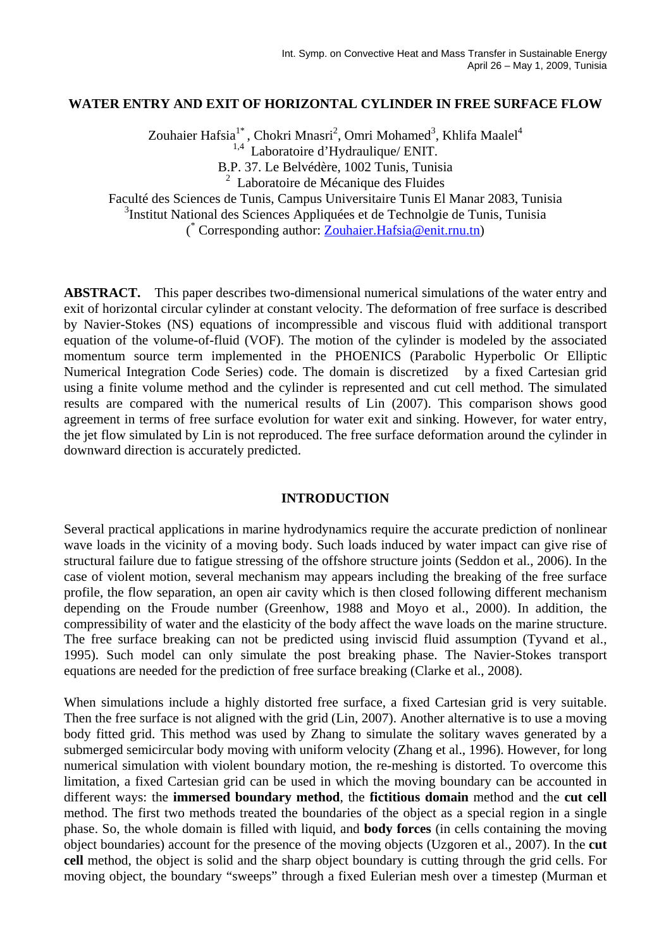## **WATER ENTRY AND EXIT OF HORIZONTAL CYLINDER IN FREE SURFACE FLOW**

Zouhaier Hafsia<sup>1\*</sup>, Chokri Mnasri<sup>2</sup>, Omri Mohamed<sup>3</sup>, Khlifa Maalel<sup>4</sup>

<sup>1,4</sup> Laboratoire d'Hydraulique/ ENIT.

B.P. 37. Le Belvédère, 1002 Tunis, Tunisia

2 Laboratoire de Mécanique des Fluides

Faculté des Sciences de Tunis, Campus Universitaire Tunis El Manar 2083, Tunisia

<sup>3</sup>Institut National des Sciences Appliquées et de Technolgie de Tunis, Tunisia

( \* Corresponding author: Zouhaier.Hafsia@enit.rnu.tn)

**ABSTRACT.** This paper describes two-dimensional numerical simulations of the water entry and exit of horizontal circular cylinder at constant velocity. The deformation of free surface is described by Navier-Stokes (NS) equations of incompressible and viscous fluid with additional transport equation of the volume-of-fluid (VOF). The motion of the cylinder is modeled by the associated momentum source term implemented in the PHOENICS (Parabolic Hyperbolic Or Elliptic Numerical Integration Code Series) code. The domain is discretized by a fixed Cartesian grid using a finite volume method and the cylinder is represented and cut cell method. The simulated results are compared with the numerical results of Lin (2007). This comparison shows good agreement in terms of free surface evolution for water exit and sinking. However, for water entry, the jet flow simulated by Lin is not reproduced. The free surface deformation around the cylinder in downward direction is accurately predicted.

## **INTRODUCTION**

Several practical applications in marine hydrodynamics require the accurate prediction of nonlinear wave loads in the vicinity of a moving body. Such loads induced by water impact can give rise of structural failure due to fatigue stressing of the offshore structure joints (Seddon et al., 2006). In the case of violent motion, several mechanism may appears including the breaking of the free surface profile, the flow separation, an open air cavity which is then closed following different mechanism depending on the Froude number (Greenhow, 1988 and Moyo et al., 2000). In addition, the compressibility of water and the elasticity of the body affect the wave loads on the marine structure. The free surface breaking can not be predicted using inviscid fluid assumption (Tyvand et al., 1995). Such model can only simulate the post breaking phase. The Navier-Stokes transport equations are needed for the prediction of free surface breaking (Clarke et al., 2008).

When simulations include a highly distorted free surface, a fixed Cartesian grid is very suitable. Then the free surface is not aligned with the grid (Lin, 2007). Another alternative is to use a moving body fitted grid. This method was used by Zhang to simulate the solitary waves generated by a submerged semicircular body moving with uniform velocity (Zhang et al., 1996). However, for long numerical simulation with violent boundary motion, the re-meshing is distorted. To overcome this limitation, a fixed Cartesian grid can be used in which the moving boundary can be accounted in different ways: the **immersed boundary method**, the **fictitious domain** method and the **cut cell** method. The first two methods treated the boundaries of the object as a special region in a single phase. So, the whole domain is filled with liquid, and **body forces** (in cells containing the moving object boundaries) account for the presence of the moving objects (Uzgoren et al., 2007). In the **cut cell** method, the object is solid and the sharp object boundary is cutting through the grid cells. For moving object, the boundary "sweeps" through a fixed Eulerian mesh over a timestep (Murman et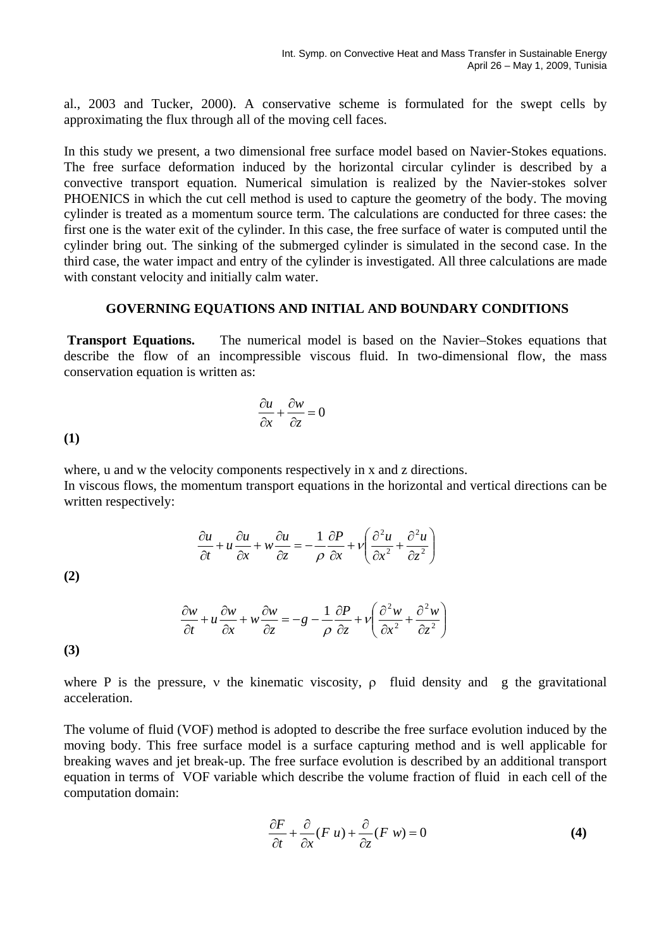al., 2003 and Tucker, 2000). A conservative scheme is formulated for the swept cells by approximating the flux through all of the moving cell faces.

In this study we present, a two dimensional free surface model based on Navier-Stokes equations. The free surface deformation induced by the horizontal circular cylinder is described by a convective transport equation. Numerical simulation is realized by the Navier-stokes solver PHOENICS in which the cut cell method is used to capture the geometry of the body. The moving cylinder is treated as a momentum source term. The calculations are conducted for three cases: the first one is the water exit of the cylinder. In this case, the free surface of water is computed until the cylinder bring out. The sinking of the submerged cylinder is simulated in the second case. In the third case, the water impact and entry of the cylinder is investigated. All three calculations are made with constant velocity and initially calm water.

### **GOVERNING EQUATIONS AND INITIAL AND BOUNDARY CONDITIONS**

 **Transport Equations.** The numerical model is based on the Navier–Stokes equations that describe the flow of an incompressible viscous fluid. In two-dimensional flow, the mass conservation equation is written as:

$$
\frac{\partial u}{\partial x} + \frac{\partial w}{\partial z} = 0
$$

**(1)**

where, u and w the velocity components respectively in x and z directions. In viscous flows, the momentum transport equations in the horizontal and vertical directions can be written respectively:

$$
\frac{\partial u}{\partial t} + u \frac{\partial u}{\partial x} + w \frac{\partial u}{\partial z} = -\frac{1}{\rho} \frac{\partial P}{\partial x} + v \left( \frac{\partial^2 u}{\partial x^2} + \frac{\partial^2 u}{\partial z^2} \right)
$$

**(2)**

$$
\frac{\partial w}{\partial t} + u \frac{\partial w}{\partial x} + w \frac{\partial w}{\partial z} = -g - \frac{1}{\rho} \frac{\partial P}{\partial z} + v \left( \frac{\partial^2 w}{\partial x^2} + \frac{\partial^2 w}{\partial z^2} \right)
$$

**(3)**

where P is the pressure, v the kinematic viscosity,  $\rho$  fluid density and g the gravitational acceleration.

The volume of fluid (VOF) method is adopted to describe the free surface evolution induced by the moving body. This free surface model is a surface capturing method and is well applicable for breaking waves and jet break-up. The free surface evolution is described by an additional transport equation in terms of VOF variable which describe the volume fraction of fluid in each cell of the computation domain:

$$
\frac{\partial F}{\partial t} + \frac{\partial}{\partial x}(F u) + \frac{\partial}{\partial z}(F w) = 0
$$
 (4)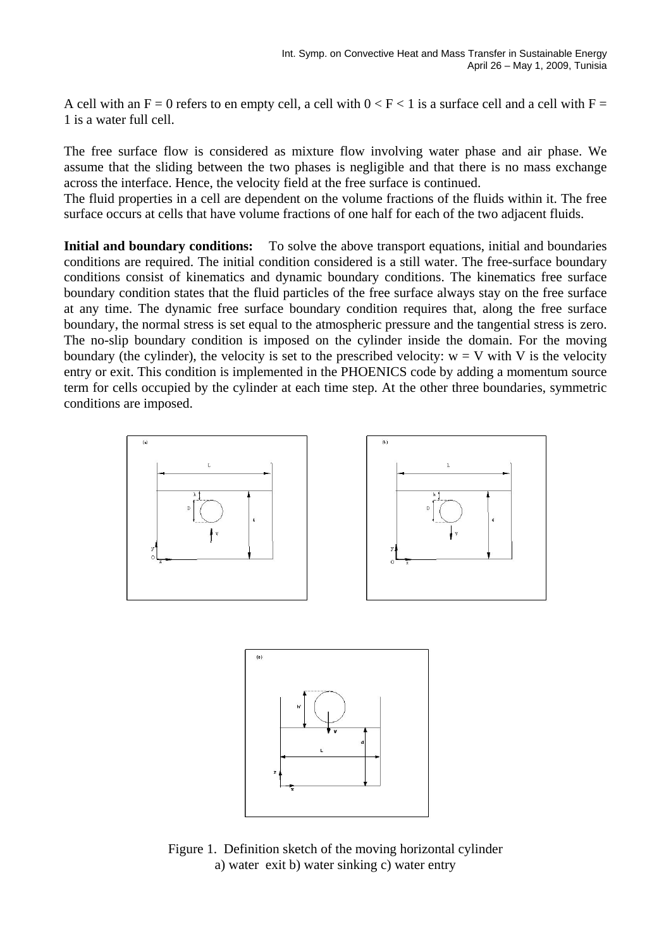A cell with an  $F = 0$  refers to en empty cell, a cell with  $0 < F < 1$  is a surface cell and a cell with  $F =$ 1 is a water full cell.

The free surface flow is considered as mixture flow involving water phase and air phase. We assume that the sliding between the two phases is negligible and that there is no mass exchange across the interface. Hence, the velocity field at the free surface is continued.

The fluid properties in a cell are dependent on the volume fractions of the fluids within it. The free surface occurs at cells that have volume fractions of one half for each of the two adjacent fluids.

**Initial and boundary conditions:** To solve the above transport equations, initial and boundaries conditions are required. The initial condition considered is a still water. The free-surface boundary conditions consist of kinematics and dynamic boundary conditions. The kinematics free surface boundary condition states that the fluid particles of the free surface always stay on the free surface at any time. The dynamic free surface boundary condition requires that, along the free surface boundary, the normal stress is set equal to the atmospheric pressure and the tangential stress is zero. The no-slip boundary condition is imposed on the cylinder inside the domain. For the moving boundary (the cylinder), the velocity is set to the prescribed velocity:  $w = V$  with V is the velocity entry or exit. This condition is implemented in the PHOENICS code by adding a momentum source term for cells occupied by the cylinder at each time step. At the other three boundaries, symmetric conditions are imposed.





Figure 1. Definition sketch of the moving horizontal cylinder a) water exit b) water sinking c) water entry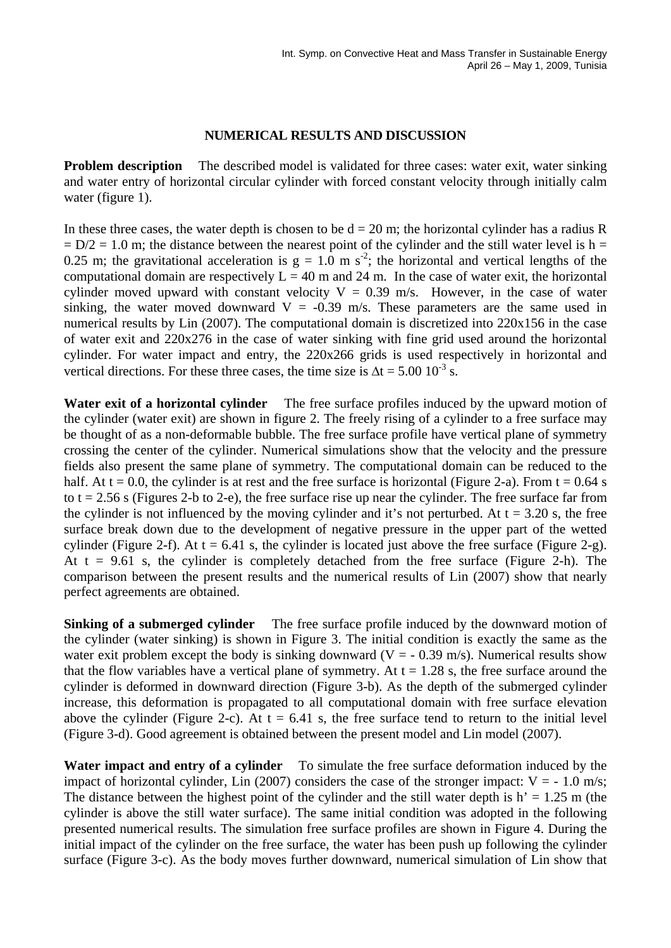# **NUMERICAL RESULTS AND DISCUSSION**

**Problem description** The described model is validated for three cases: water exit, water sinking and water entry of horizontal circular cylinder with forced constant velocity through initially calm water (figure 1).

In these three cases, the water depth is chosen to be  $d = 20$  m; the horizontal cylinder has a radius R  $= D/2 = 1.0$  m; the distance between the nearest point of the cylinder and the still water level is h = 0.25 m; the gravitational acceleration is  $g = 1.0$  m s<sup>-2</sup>; the horizontal and vertical lengths of the computational domain are respectively  $L = 40$  m and 24 m. In the case of water exit, the horizontal cylinder moved upward with constant velocity  $V = 0.39$  m/s. However, in the case of water sinking, the water moved downward  $V = -0.39$  m/s. These parameters are the same used in numerical results by Lin (2007). The computational domain is discretized into 220x156 in the case of water exit and 220x276 in the case of water sinking with fine grid used around the horizontal cylinder. For water impact and entry, the 220x266 grids is used respectively in horizontal and vertical directions. For these three cases, the time size is  $\Delta t = 5.00 \, 10^{-3} \,$ s.

**Water exit of a horizontal cylinder** The free surface profiles induced by the upward motion of the cylinder (water exit) are shown in figure 2. The freely rising of a cylinder to a free surface may be thought of as a non-deformable bubble. The free surface profile have vertical plane of symmetry crossing the center of the cylinder. Numerical simulations show that the velocity and the pressure fields also present the same plane of symmetry. The computational domain can be reduced to the half. At  $t = 0.0$ , the cylinder is at rest and the free surface is horizontal (Figure 2-a). From  $t = 0.64$  s to  $t = 2.56$  s (Figures 2-b to 2-e), the free surface rise up near the cylinder. The free surface far from the cylinder is not influenced by the moving cylinder and it's not perturbed. At  $t = 3.20$  s, the free surface break down due to the development of negative pressure in the upper part of the wetted cylinder (Figure 2-f). At  $t = 6.41$  s, the cylinder is located just above the free surface (Figure 2-g). At  $t = 9.61$  s, the cylinder is completely detached from the free surface (Figure 2-h). The comparison between the present results and the numerical results of Lin (2007) show that nearly perfect agreements are obtained.

**Sinking of a submerged cylinder** The free surface profile induced by the downward motion of the cylinder (water sinking) is shown in Figure 3. The initial condition is exactly the same as the water exit problem except the body is sinking downward ( $V = -0.39$  m/s). Numerical results show that the flow variables have a vertical plane of symmetry. At  $t = 1.28$  s, the free surface around the cylinder is deformed in downward direction (Figure 3-b). As the depth of the submerged cylinder increase, this deformation is propagated to all computational domain with free surface elevation above the cylinder (Figure 2-c). At  $t = 6.41$  s, the free surface tend to return to the initial level (Figure 3-d). Good agreement is obtained between the present model and Lin model (2007).

**Water impact and entry of a cylinder** To simulate the free surface deformation induced by the impact of horizontal cylinder, Lin (2007) considers the case of the stronger impact:  $V = -1.0$  m/s; The distance between the highest point of the cylinder and the still water depth is  $h' = 1.25$  m (the cylinder is above the still water surface). The same initial condition was adopted in the following presented numerical results. The simulation free surface profiles are shown in Figure 4. During the initial impact of the cylinder on the free surface, the water has been push up following the cylinder surface (Figure 3-c). As the body moves further downward, numerical simulation of Lin show that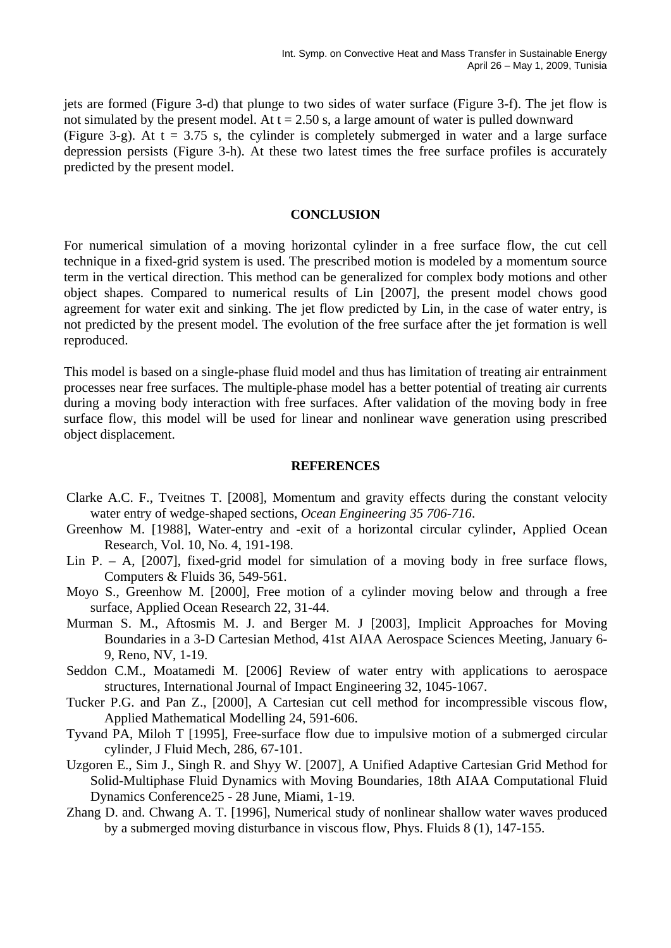jets are formed (Figure 3-d) that plunge to two sides of water surface (Figure 3-f). The jet flow is not simulated by the present model. At  $t = 2.50$  s, a large amount of water is pulled downward (Figure 3-g). At  $t = 3.75$  s, the cylinder is completely submerged in water and a large surface depression persists (Figure 3-h). At these two latest times the free surface profiles is accurately predicted by the present model.

### **CONCLUSION**

For numerical simulation of a moving horizontal cylinder in a free surface flow, the cut cell technique in a fixed-grid system is used. The prescribed motion is modeled by a momentum source term in the vertical direction. This method can be generalized for complex body motions and other object shapes. Compared to numerical results of Lin [2007], the present model chows good agreement for water exit and sinking. The jet flow predicted by Lin, in the case of water entry, is not predicted by the present model. The evolution of the free surface after the jet formation is well reproduced.

This model is based on a single-phase fluid model and thus has limitation of treating air entrainment processes near free surfaces. The multiple-phase model has a better potential of treating air currents during a moving body interaction with free surfaces. After validation of the moving body in free surface flow, this model will be used for linear and nonlinear wave generation using prescribed object displacement.

### **REFERENCES**

- Clarke A.C. F., Tveitnes T. [2008], Momentum and gravity effects during the constant velocity water entry of wedge-shaped sections, *Ocean Engineering 35 706-716*.
- Greenhow M. [1988], Water-entry and -exit of a horizontal circular cylinder, Applied Ocean Research, Vol. 10, No. 4, 191-198.
- Lin P. A,  $[2007]$ , fixed-grid model for simulation of a moving body in free surface flows, Computers & Fluids 36, 549-561.
- Moyo S., Greenhow M. [2000], Free motion of a cylinder moving below and through a free surface, Applied Ocean Research 22, 31-44.
- Murman S. M., Aftosmis M. J. and Berger M. J [2003], Implicit Approaches for Moving Boundaries in a 3-D Cartesian Method, 41st AIAA Aerospace Sciences Meeting, January 6- 9, Reno, NV, 1-19.
- Seddon C.M., Moatamedi M. [2006] Review of water entry with applications to aerospace structures, International Journal of Impact Engineering 32, 1045-1067.
- Tucker P.G. and Pan Z., [2000], A Cartesian cut cell method for incompressible viscous flow, Applied Mathematical Modelling 24, 591-606.
- Tyvand PA, Miloh T [1995], Free-surface flow due to impulsive motion of a submerged circular cylinder, J Fluid Mech, 286, 67-101.
- Uzgoren E., Sim J., Singh R. and Shyy W. [2007], A Unified Adaptive Cartesian Grid Method for Solid-Multiphase Fluid Dynamics with Moving Boundaries, 18th AIAA Computational Fluid Dynamics Conference25 - 28 June, Miami, 1-19.
- Zhang D. and. Chwang A. T. [1996], Numerical study of nonlinear shallow water waves produced by a submerged moving disturbance in viscous flow, Phys. Fluids 8 (1), 147-155.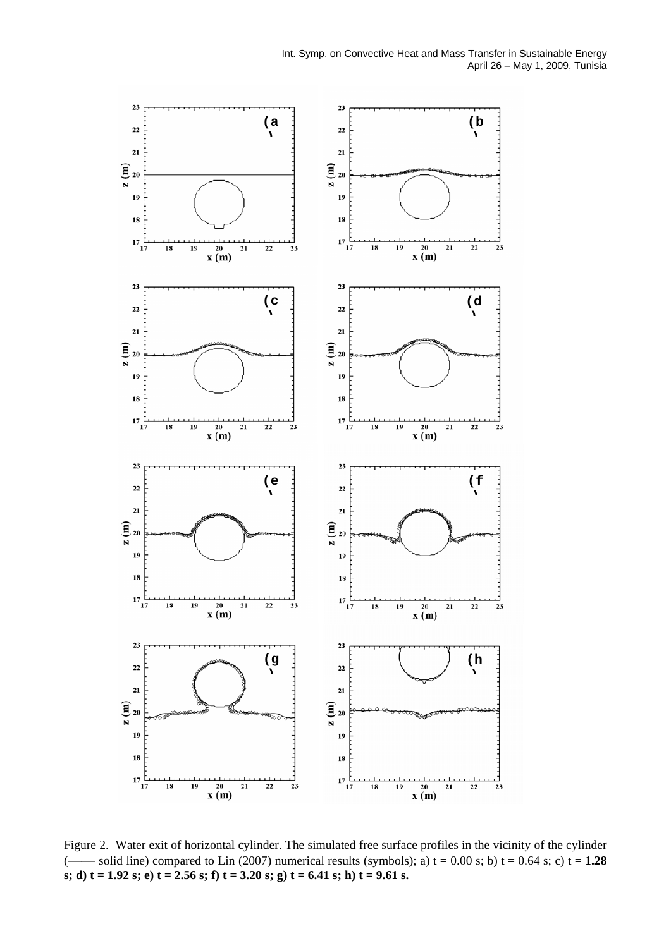

Figure 2. Water exit of horizontal cylinder. The simulated free surface profiles in the vicinity of the cylinder (—— solid line) compared to Lin (2007) numerical results (symbols); a)  $t = 0.00$  s; b)  $t = 0.64$  s; c)  $t = 1.28$ **s; d) t = 1.92 s; e) t = 2.56 s; f) t = 3.20 s; g) t = 6.41 s; h) t = 9.61 s.**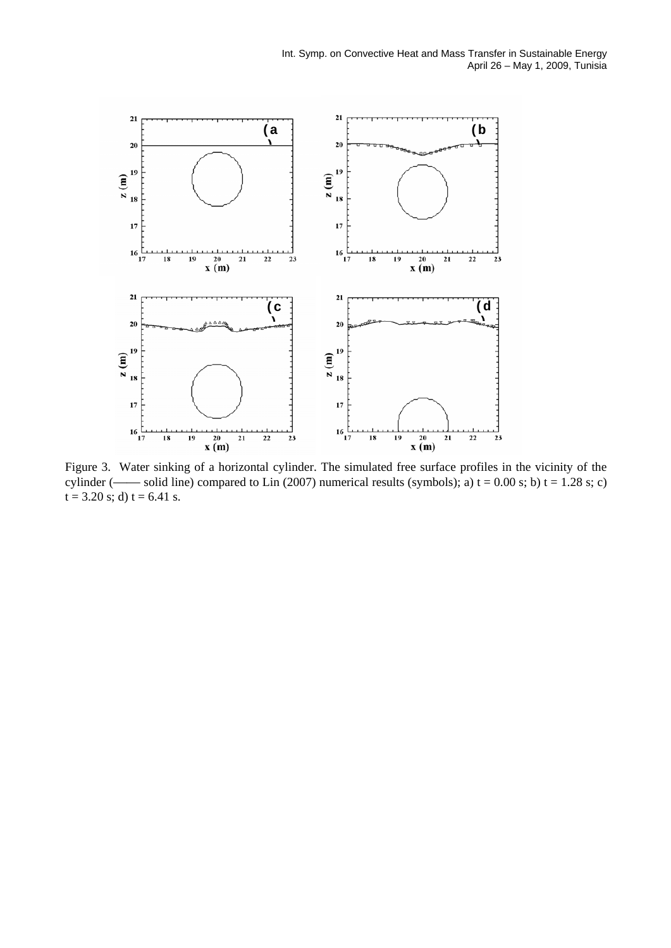

Figure 3. Water sinking of a horizontal cylinder. The simulated free surface profiles in the vicinity of the cylinder (—— solid line) compared to Lin (2007) numerical results (symbols); a)  $t = 0.00$  s; b)  $t = 1.28$  s; c)  $t = 3.20$  s; d)  $t = 6.41$  s.